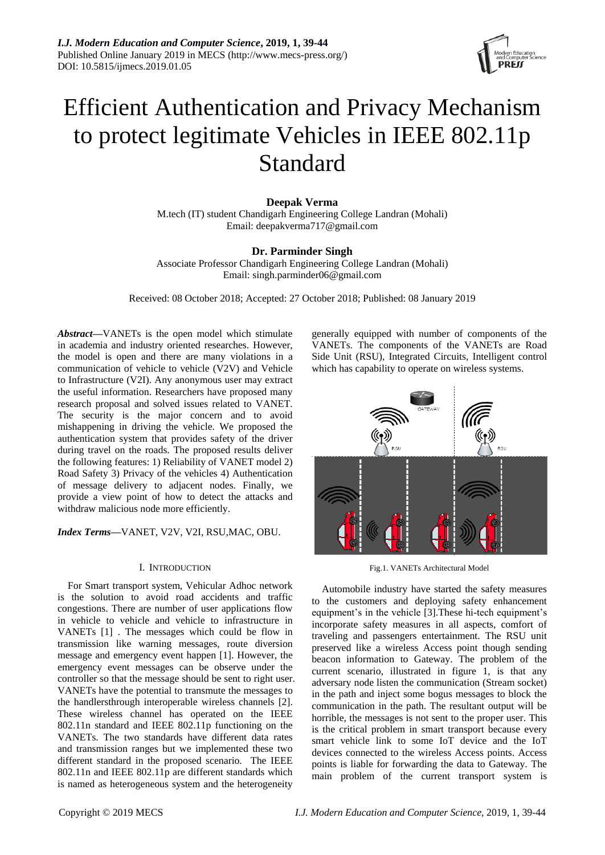

# Efficient Authentication and Privacy Mechanism to protect legitimate Vehicles in IEEE 802.11p Standard

**Deepak Verma** M.tech (IT) student Chandigarh Engineering College Landran (Mohali) Email: deepakverma717@gmail.com

# **Dr. Parminder Singh**

Associate Professor Chandigarh Engineering College Landran (Mohali) Email: singh.parminder06@gmail.com

Received: 08 October 2018; Accepted: 27 October 2018; Published: 08 January 2019

*Abstract***—**VANETs is the open model which stimulate in academia and industry oriented researches. However, the model is open and there are many violations in a communication of vehicle to vehicle (V2V) and Vehicle to Infrastructure (V2I). Any anonymous user may extract the useful information. Researchers have proposed many research proposal and solved issues related to VANET. The security is the major concern and to avoid mishappening in driving the vehicle. We proposed the authentication system that provides safety of the driver during travel on the roads. The proposed results deliver the following features: 1) Reliability of VANET model 2) Road Safety 3) Privacy of the vehicles 4) Authentication of message delivery to adjacent nodes. Finally, we provide a view point of how to detect the attacks and withdraw malicious node more efficiently.

*Index Terms—*VANET, V2V, V2I, RSU,MAC, OBU.

#### I. INTRODUCTION

For Smart transport system, Vehicular Adhoc network is the solution to avoid road accidents and traffic congestions. There are number of user applications flow in vehicle to vehicle and vehicle to infrastructure in VANETs [1] . The messages which could be flow in transmission like warning messages, route diversion message and emergency event happen [1]. However, the emergency event messages can be observe under the controller so that the message should be sent to right user. VANETs have the potential to transmute the messages to the handlersthrough interoperable wireless channels [2]. These wireless channel has operated on the IEEE 802.11n standard and IEEE 802.11p functioning on the VANETs. The two standards have different data rates and transmission ranges but we implemented these two different standard in the proposed scenario. The IEEE 802.11n and IEEE 802.11p are different standards which is named as heterogeneous system and the heterogeneity

generally equipped with number of components of the VANETs. The components of the VANETs are Road Side Unit (RSU), Integrated Circuits, Intelligent control which has capability to operate on wireless systems.



Fig.1. VANETs Architectural Model

Automobile industry have started the safety measures to the customers and deploying safety enhancement equipment's in the vehicle [3].These hi-tech equipment's incorporate safety measures in all aspects, comfort of traveling and passengers entertainment. The RSU unit preserved like a wireless Access point though sending beacon information to Gateway. The problem of the current scenario, illustrated in figure 1, is that any adversary node listen the communication (Stream socket) in the path and inject some bogus messages to block the communication in the path. The resultant output will be horrible, the messages is not sent to the proper user. This is the critical problem in smart transport because every smart vehicle link to some IoT device and the IoT devices connected to the wireless Access points. Access points is liable for forwarding the data to Gateway. The main problem of the current transport system is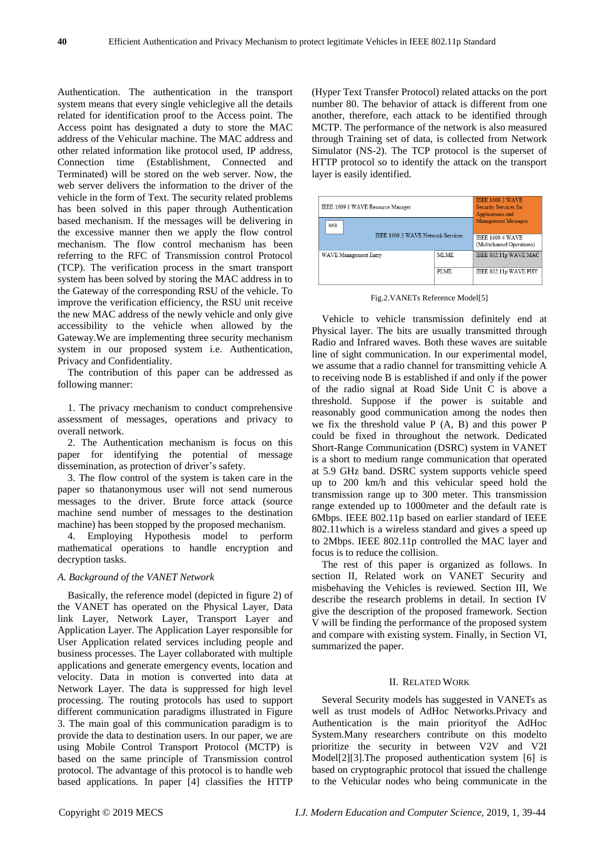Authentication. The authentication in the transport system means that every single vehiclegive all the details related for identification proof to the Access point. The Access point has designated a duty to store the MAC address of the Vehicular machine. The MAC address and other related information like protocol used, IP address, Connection time (Establishment, Connected and Terminated) will be stored on the web server. Now, the web server delivers the information to the driver of the vehicle in the form of Text. The security related problems has been solved in this paper through Authentication based mechanism. If the messages will be delivering in the excessive manner then we apply the flow control mechanism. The flow control mechanism has been referring to the RFC of Transmission control Protocol (TCP). The verification process in the smart transport system has been solved by storing the MAC address in to the Gateway of the corresponding RSU of the vehicle. To improve the verification efficiency, the RSU unit receive the new MAC address of the newly vehicle and only give accessibility to the vehicle when allowed by the Gateway.We are implementing three security mechanism system in our proposed system i.e. Authentication, Privacy and Confidentiality.

The contribution of this paper can be addressed as following manner:

1. The privacy mechanism to conduct comprehensive assessment of messages, operations and privacy to overall network.

2. The Authentication mechanism is focus on this paper for identifying the potential of message dissemination, as protection of driver's safety.

3. The flow control of the system is taken care in the paper so thatanonymous user will not send numerous messages to the driver. Brute force attack (source machine send number of messages to the destination machine) has been stopped by the proposed mechanism.

4. Employing Hypothesis model to perform mathematical operations to handle encryption and decryption tasks.

#### *A. Background of the VANET Network*

Basically, the reference model (depicted in figure 2) of the VANET has operated on the Physical Layer, Data link Layer, Network Layer, Transport Layer and Application Layer. The Application Layer responsible for User Application related services including people and business processes. The Layer collaborated with multiple applications and generate emergency events, location and velocity. Data in motion is converted into data at Network Layer. The data is suppressed for high level processing. The routing protocols has used to support different communication paradigms illustrated in Figure 3. The main goal of this communication paradigm is to provide the data to destination users. In our paper, we are using Mobile Control Transport Protocol (MCTP) is based on the same principle of Transmission control protocol. The advantage of this protocol is to handle web based applications. In paper [4] classifies the HTTP

(Hyper Text Transfer Protocol) related attacks on the port number 80. The behavior of attack is different from one another, therefore, each attack to be identified through MCTP. The performance of the network is also measured through Training set of data, is collected from Network Simulator (NS-2). The TCP protocol is the superset of HTTP protocol so to identify the attack on the transport layer is easily identified.

| IEEE 1609.1 WAVE Resource Manager               |      | <b>IEEE 1609.2 WAVE</b><br><b>Security Services for</b><br>Applications and<br>Management Messages<br><b>IEEE 1609.4 WAVE</b><br>(Multichannel Operations) |
|-------------------------------------------------|------|------------------------------------------------------------------------------------------------------------------------------------------------------------|
| MIB<br><b>IEEE 1609 3 WAVE Network Services</b> |      |                                                                                                                                                            |
| WAVE Management Entry                           | MLME | IEEE 802.11p WAVE MAC                                                                                                                                      |
|                                                 | PLME | IEEE 802.11p WAVE PHY                                                                                                                                      |

Fig.2.VANETs Reference Model[5]

Vehicle to vehicle transmission definitely end at Physical layer. The bits are usually transmitted through Radio and Infrared waves. Both these waves are suitable line of sight communication. In our experimental model, we assume that a radio channel for transmitting vehicle A to receiving node B is established if and only if the power of the radio signal at Road Side Unit C is above a threshold. Suppose if the power is suitable and reasonably good communication among the nodes then we fix the threshold value P (A, B) and this power P could be fixed in throughout the network. Dedicated Short-Range Communication (DSRC) system in VANET is a short to medium range communication that operated at 5.9 GHz band. DSRC system supports vehicle speed up to 200 km/h and this vehicular speed hold the transmission range up to 300 meter. This transmission range extended up to 1000meter and the default rate is 6Mbps. IEEE 802.11p based on earlier standard of IEEE 802.11which is a wireless standard and gives a speed up to 2Mbps. IEEE 802.11p controlled the MAC layer and focus is to reduce the collision.

The rest of this paper is organized as follows. In section II, Related work on VANET Security and misbehaving the Vehicles is reviewed. Section III, We describe the research problems in detail. In section IV give the description of the proposed framework. Section V will be finding the performance of the proposed system and compare with existing system. Finally, in Section VI, summarized the paper.

## II. RELATED WORK

Several Security models has suggested in VANETs as well as trust models of AdHoc Networks.Privacy and Authentication is the main priorityof the AdHoc System.Many researchers contribute on this modelto prioritize the security in between V2V and V2I Model[2][3].The proposed authentication system [6] is based on cryptographic protocol that issued the challenge to the Vehicular nodes who being communicate in the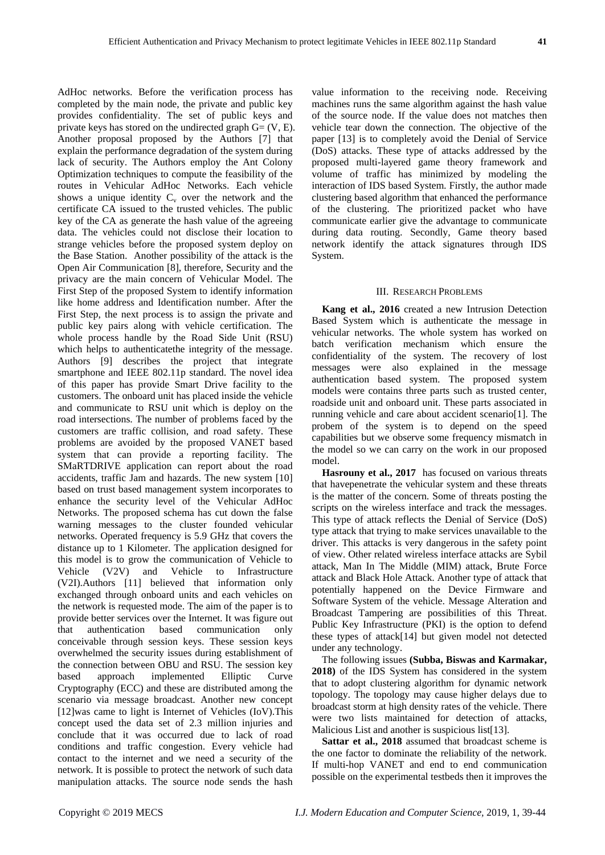AdHoc networks. Before the verification process has completed by the main node, the private and public key provides confidentiality. The set of public keys and private keys has stored on the undirected graph  $G = (V, E)$ . Another proposal proposed by the Authors [7] that explain the performance degradation of the system during lack of security. The Authors employ the Ant Colony Optimization techniques to compute the feasibility of the routes in Vehicular AdHoc Networks. Each vehicle shows a unique identity  $C_v$  over the network and the certificate CA issued to the trusted vehicles. The public key of the CA as generate the hash value of the agreeing data. The vehicles could not disclose their location to strange vehicles before the proposed system deploy on the Base Station. Another possibility of the attack is the Open Air Communication [8], therefore, Security and the privacy are the main concern of Vehicular Model. The First Step of the proposed System to identify information like home address and Identification number. After the First Step, the next process is to assign the private and public key pairs along with vehicle certification. The whole process handle by the Road Side Unit (RSU) which helps to authenticatethe integrity of the message. Authors [9] describes the project that integrate smartphone and IEEE 802.11p standard. The novel idea of this paper has provide Smart Drive facility to the customers. The onboard unit has placed inside the vehicle and communicate to RSU unit which is deploy on the road intersections. The number of problems faced by the customers are traffic collision, and road safety. These problems are avoided by the proposed VANET based system that can provide a reporting facility. The SMaRTDRIVE application can report about the road accidents, traffic Jam and hazards. The new system [10] based on trust based management system incorporates to enhance the security level of the Vehicular AdHoc Networks. The proposed schema has cut down the false warning messages to the cluster founded vehicular networks. Operated frequency is 5.9 GHz that covers the distance up to 1 Kilometer. The application designed for this model is to grow the communication of Vehicle to Vehicle (V2V) and Vehicle to Infrastructure (V2I).Authors [11] believed that information only exchanged through onboard units and each vehicles on the network is requested mode. The aim of the paper is to provide better services over the Internet. It was figure out that authentication based communication only conceivable through session keys. These session keys overwhelmed the security issues during establishment of the connection between OBU and RSU. The session key based approach implemented Elliptic Curve Cryptography (ECC) and these are distributed among the scenario via message broadcast. Another new concept [12]was came to light is Internet of Vehicles (IoV).This concept used the data set of 2.3 million injuries and conclude that it was occurred due to lack of road conditions and traffic congestion. Every vehicle had contact to the internet and we need a security of the network. It is possible to protect the network of such data manipulation attacks. The source node sends the hash

value information to the receiving node. Receiving machines runs the same algorithm against the hash value of the source node. If the value does not matches then vehicle tear down the connection. The objective of the paper [13] is to completely avoid the Denial of Service (DoS) attacks. These type of attacks addressed by the proposed multi-layered game theory framework and volume of traffic has minimized by modeling the interaction of IDS based System. Firstly, the author made clustering based algorithm that enhanced the performance of the clustering. The prioritized packet who have communicate earlier give the advantage to communicate during data routing. Secondly, Game theory based network identify the attack signatures through IDS System.

## III. RESEARCH PROBLEMS

**Kang et al., 2016** created a new Intrusion Detection Based System which is authenticate the message in vehicular networks. The whole system has worked on batch verification mechanism which ensure the confidentiality of the system. The recovery of lost messages were also explained in the message authentication based system. The proposed system models were contains three parts such as trusted center, roadside unit and onboard unit. These parts associated in running vehicle and care about accident scenario[1]. The probem of the system is to depend on the speed capabilities but we observe some frequency mismatch in the model so we can carry on the work in our proposed model.

**Hasrouny et al., 2017** has focused on various threats that havepenetrate the vehicular system and these threats is the matter of the concern. Some of threats posting the scripts on the wireless interface and track the messages. This type of attack reflects the Denial of Service (DoS) type attack that trying to make services unavailable to the driver. This attacks is very dangerous in the safety point of view. Other related wireless interface attacks are Sybil attack, Man In The Middle (MIM) attack, Brute Force attack and Black Hole Attack. Another type of attack that potentially happened on the Device Firmware and Software System of the vehicle. Message Alteration and Broadcast Tampering are possibilities of this Threat. Public Key Infrastructure (PKI) is the option to defend these types of attack[14] but given model not detected under any technology.

The following issues **(Subba, Biswas and Karmakar, 2018)** of the IDS System has considered in the system that to adopt clustering algorithm for dynamic network topology. The topology may cause higher delays due to broadcast storm at high density rates of the vehicle. There were two lists maintained for detection of attacks, Malicious List and another is suspicious list[13].

**Sattar et al., 2018** assumed that broadcast scheme is the one factor to dominate the reliability of the network. If multi-hop VANET and end to end communication possible on the experimental testbeds then it improves the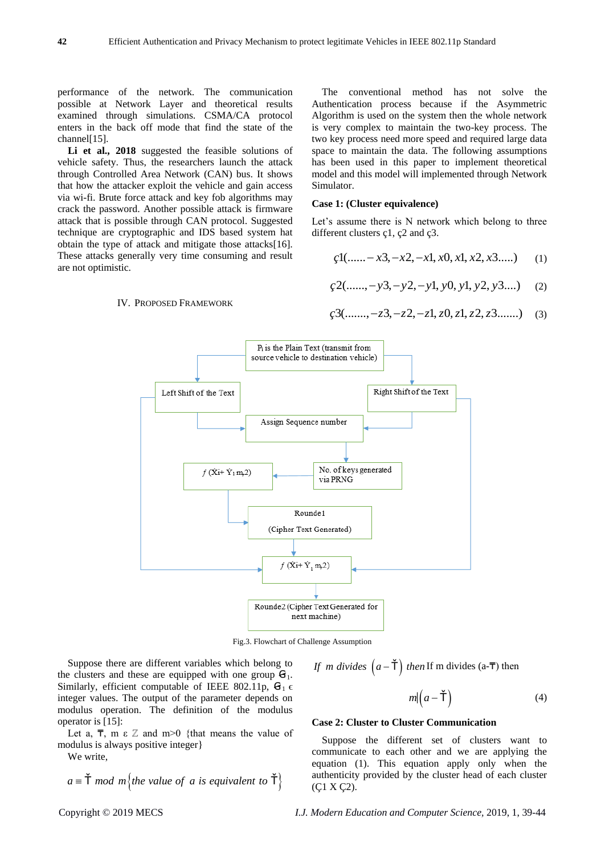performance of the network. The communication possible at Network Layer and theoretical results examined through simulations. CSMA/CA protocol enters in the back off mode that find the state of the channel<sup>[15]</sup>.

**Li et al., 2018** suggested the feasible solutions of vehicle safety. Thus, the researchers launch the attack through Controlled Area Network (CAN) bus. It shows that how the attacker exploit the vehicle and gain access via wi-fi. Brute force attack and key fob algorithms may crack the password. Another possible attack is firmware attack that is possible through CAN protocol. Suggested technique are cryptographic and IDS based system hat obtain the type of attack and mitigate those attacks[16]. These attacks generally very time consuming and result are not optimistic.

IV. PROPOSED FRAMEWORK

The conventional method has not solve the Authentication process because if the Asymmetric Algorithm is used on the system then the whole network is very complex to maintain the two-key process. The two key process need more speed and required large data space to maintain the data. The following assumptions has been used in this paper to implement theoretical model and this model will implemented through Network Simulator.

#### **Case 1: (Cluster equivalence)**

Let's assume there is N network which belong to three different clusters cl,  $\varphi$  and  $\varphi$ .

$$
d(\dots - x3, -x2, -x1, x0, x1, x2, x3\dots)
$$
 (1)

$$
\zeta^{2}(\dots, -y3, -y2, -y1, y0, y1, y2, y3\dots) \tag{2}
$$

$$
\mathcal{G}(\dots, -z3, -z2, -z1, z0, z1, z2, z3, \dots)
$$
 (3)



Fig.3. Flowchart of Challenge Assumption

Suppose there are different variables which belong to the clusters and these are equipped with one group  $G_1$ . Similarly, efficient computable of IEEE 802.11p,  $\mathbf{G}_1 \in$ integer values. The output of the parameter depends on modulus operation. The definition of the modulus operator is [15]:

Let a,  $\overline{\tau}$ , m  $\varepsilon$  Z and m>0 {that means the value of modulus is always positive integer}

We write,

we write,  

$$
a \equiv \check{\mathsf{T}} \mod m
$$
 {the value of a is equivalent to  $\check{\mathsf{T}}$ }

If *m* divides 
$$
(a - \check{T})
$$
 then If *m* divides  $(a - \overline{T})$  then

$$
m|(a-\check{\mathsf{T}}) \tag{4}
$$

#### **Case 2: Cluster to Cluster Communication**

Suppose the different set of clusters want to communicate to each other and we are applying the equation (1). This equation apply only when the authenticity provided by the cluster head of each cluster (Ç1 X Ç2).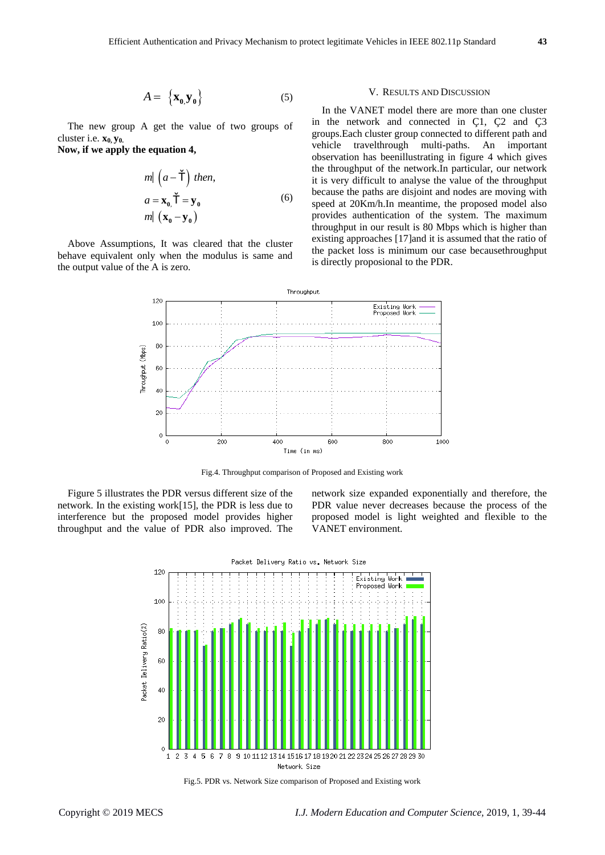$$
A = \left\{ \mathbf{x}_0, \mathbf{y}_0 \right\} \tag{5}
$$

The new group A get the value of two groups of cluster i.e. **x0, y0.**

**Now, if we apply the equation 4,**

$$
m| \left( a - \breve{\mathbf{T}} \right) \text{ then,}
$$
\n
$$
a = \mathbf{x}_0, \breve{\mathbf{T}} = \mathbf{y}_0
$$
\n
$$
m| \left( \mathbf{x}_0 - \mathbf{y}_0 \right)
$$
\n(6)

Above Assumptions, It was cleared that the cluster behave equivalent only when the modulus is same and the output value of the A is zero.

#### V. RESULTS AND DISCUSSION

In the VANET model there are more than one cluster in the network and connected in Ç1, Ç2 and Ç3 groups.Each cluster group connected to different path and vehicle travelthrough multi-paths. An important observation has beenillustrating in figure 4 which gives the throughput of the network.In particular, our network it is very difficult to analyse the value of the throughput because the paths are disjoint and nodes are moving with speed at 20Km/h.In meantime, the proposed model also provides authentication of the system. The maximum throughput in our result is 80 Mbps which is higher than existing approaches [17]and it is assumed that the ratio of the packet loss is minimum our case becausethroughput is directly proposional to the PDR.



Fig.4. Throughput comparison of Proposed and Existing work

Figure 5 illustrates the PDR versus different size of the network. In the existing work[15], the PDR is less due to interference but the proposed model provides higher throughput and the value of PDR also improved. The network size expanded exponentially and therefore, the PDR value never decreases because the process of the proposed model is light weighted and flexible to the VANET environment.



Fig.5. PDR vs. Network Size comparison of Proposed and Existing work